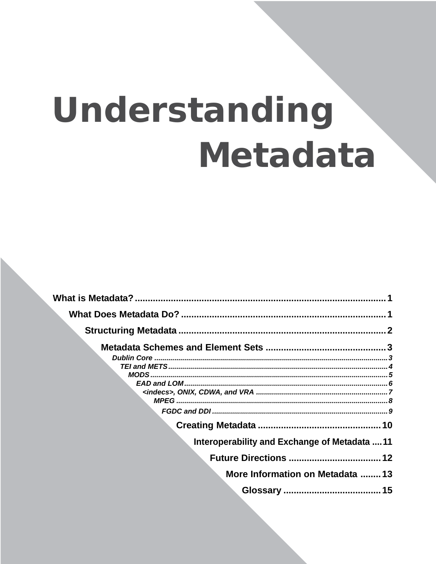# Understanding Metadata

| Interoperability and Exchange of Metadata 11 |  |
|----------------------------------------------|--|
|                                              |  |
| More Information on Metadata 13              |  |
|                                              |  |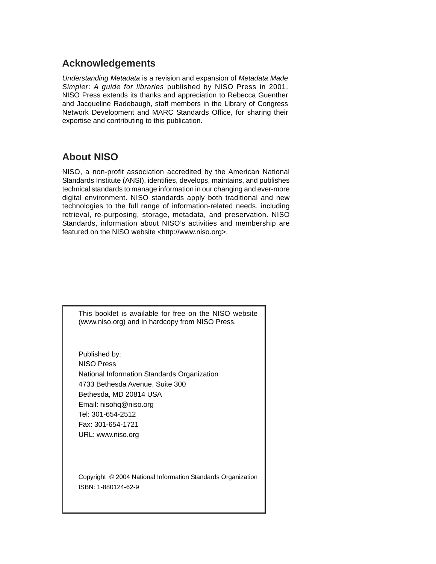## **Acknowledgements**

*Understanding Metadata* is a revision and expansion of *Metadata Made Simpler*: *A guide for libraries* published by NISO Press in 2001. NISO Press extends its thanks and appreciation to Rebecca Guenther and Jacqueline Radebaugh, staff members in the Library of Congress Network Development and MARC Standards Office, for sharing their expertise and contributing to this publication.

## **About NISO**

NISO, a non-profit association accredited by the American National Standards Institute (ANSI), identifies, develops, maintains, and publishes technical standards to manage information in our changing and ever-more digital environment. NISO standards apply both traditional and new technologies to the full range of information-related needs, including retrieval, re-purposing, storage, metadata, and preservation. NISO Standards, information about NISO's activities and membership are featured on the NISO website [<http://www.niso.org](http://www.niso.org)>.

This booklet is available for free on the NISO website (www.niso.org) and in hardcopy from NISO Press.

Published by: NISO Press National Information Standards Organization 4733 Bethesda Avenue, Suite 300 Bethesda, MD 20814 USA Email: nisohq@niso.org Tel: 301-654-2512 Fax: 301-654-1721 URL: www.niso.org

Copyright © 2004 National Information Standards Organization ISBN: 1-880124-62-9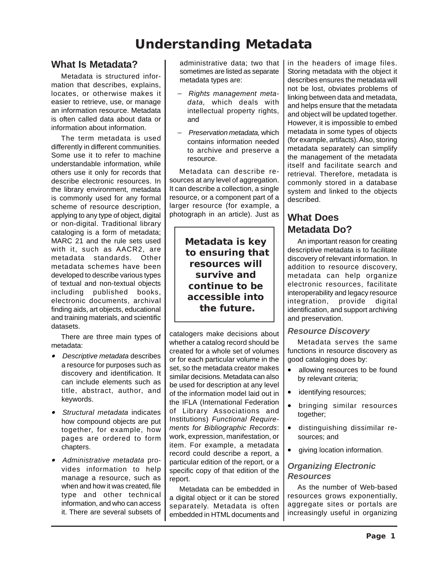## **Understanding Metadata**

## **What Is Metadata?**

Metadata is structured information that describes, explains, locates, or otherwise makes it easier to retrieve, use, or manage an information resource. Metadata is often called data about data or information about information.

The term metadata is used differently in different communities. Some use it to refer to machine understandable information, while others use it only for records that describe electronic resources. In the library environment, metadata is commonly used for any formal scheme of resource description, applying to any type of object, digital or non-digital. Traditional library cataloging is a form of metadata; MARC 21 and the rule sets used with it, such as AACR2, are metadata standards. Other metadata schemes have been developed to describe various types of textual and non-textual objects including published books, electronic documents, archival finding aids, art objects, educational and training materials, and scientific datasets.

There are three main types of metadata:

- *Descriptive metadata* describes a resource for purposes such as discovery and identification. It can include elements such as title, abstract, author, and keywords.
- • *Structural metadata* indicates how compound objects are put together, for example, how pages are ordered to form chapters.
- *Administrative metadata* provides information to help manage a resource, such as when and how it was created, file type and other technical information, and who can access it. There are several subsets of

administrative data; two that sometimes are listed as separate metadata types are:

- − *Rights management metadata,* which deals with intellectual property rights, and
- − *Preservation metadata,* which contains information needed to archive and preserve a resource.

Metadata can describe resources at any level of aggregation. It can describe a collection, a single resource, or a component part of a larger resource (for example, a photograph in an article). Just as

> **Metadata is key to ensuring that resources will survive and continue to be accessible into the future.**

catalogers make decisions about whether a catalog record should be created for a whole set of volumes or for each particular volume in the set, so the metadata creator makes similar decisions. Metadata can also be used for description at any level of the information model laid out in the IFLA (International Federation of Library Associations and Institutions) *Functional Requirements for Bibliographic Records*: work, expression, manifestation, or item. For example, a metadata record could describe a report, a particular edition of the report, or a specific copy of that edition of the report.

Metadata can be embedded in a digital object or it can be stored separately. Metadata is often embedded in HTML documents and in the headers of image files. Storing metadata with the object it describes ensures the metadata will not be lost, obviates problems of linking between data and metadata, and helps ensure that the metadata and object will be updated together. However, it is impossible to embed metadata in some types of objects (for example, artifacts). Also, storing metadata separately can simplify the management of the metadata itself and facilitate search and retrieval. Therefore, metadata is commonly stored in a database system and linked to the objects described.

## **What Does Metadata Do?**

An important reason for creating descriptive metadata is to facilitate discovery of relevant information. In addition to resource discovery, metadata can help organize electronic resources, facilitate interoperability and legacy resource integration, provide digital identification, and support archiving and preservation.

#### *Resource Discovery*

Metadata serves the same functions in resource discovery as good cataloging does by:

- allowing resources to be found by relevant criteria;
- identifying resources;
- bringing similar resources together;
- distinguishing dissimilar resources; and
- giving location information.

#### *Organizing Electronic Resources*

As the number of Web-based resources grows exponentially, aggregate sites or portals are increasingly useful in organizing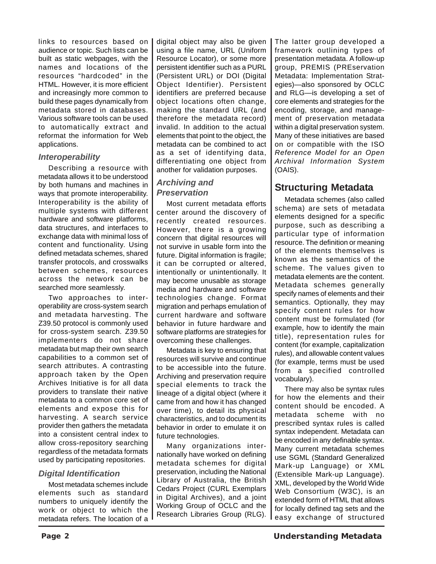links to resources based on audience or topic. Such lists can be built as static webpages, with the names and locations of the resources "hardcoded" in the HTML. However, it is more efficient and increasingly more common to build these pages dynamically from metadata stored in databases. Various software tools can be used to automatically extract and reformat the information for Web applications.

#### *Interoperability*

Describing a resource with metadata allows it to be understood by both humans and machines in ways that promote interoperability. Interoperability is the ability of multiple systems with different hardware and software platforms, data structures, and interfaces to exchange data with minimal loss of content and functionality. Using defined metadata schemes, shared transfer protocols, and crosswalks between schemes, resources across the network can be searched more seamlessly.

Two approaches to interoperability are cross-system search and metadata harvesting. The Z39.50 protocol is commonly used for cross-system search. Z39.50 implementers do not share metadata but map their own search capabilities to a common set of search attributes. A contrasting approach taken by the Open Archives Initiative is for all data providers to translate their native metadata to a common core set of elements and expose this for harvesting. A search service provider then gathers the metadata into a consistent central index to allow cross-repository searching regardless of the metadata formats used by participating repositories.

#### *Digital Identification*

Most metadata schemes include elements such as standard numbers to uniquely identify the work or object to which the metadata refers. The location of a digital object may also be given using a file name, URL (Uniform Resource Locator), or some more persistent identifier such as a PURL (Persistent URL) or DOI (Digital Object Identifier). Persistent identifiers are preferred because object locations often change, making the standard URL (and therefore the metadata record) invalid. In addition to the actual elements that point to the object, the metadata can be combined to act as a set of identifying data, differentiating one object from another for validation purposes.

#### *Archiving and Preservation*

Most current metadata efforts center around the discovery of recently created resources. However, there is a growing concern that digital resources will not survive in usable form into the future. Digital information is fragile; it can be corrupted or altered, intentionally or unintentionally. It may become unusable as storage media and hardware and software technologies change. Format migration and perhaps emulation of current hardware and software behavior in future hardware and software platforms are strategies for overcoming these challenges.

Metadata is key to ensuring that resources will survive and continue to be accessible into the future. Archiving and preservation require special elements to track the lineage of a digital object (where it came from and how it has changed over time), to detail its physical characteristics, and to document its behavior in order to emulate it on future technologies.

Many organizations internationally have worked on defining metadata schemes for digital preservation, including the National Library of Australia, the British Cedars Project (CURL Exemplars in Digital Archives), and a joint Working Group of OCLC and the Research Libraries Group (RLG). The latter group developed a framework outlining types of presentation metadata. A follow-up group, PREMIS (PREservation Metadata: Implementation Strategies)—also sponsored by OCLC and RLG—is developing a set of core elements and strategies for the encoding, storage, and management of preservation metadata within a digital preservation system. Many of these initiatives are based on or compatible with the ISO *Reference Model for an Open Archival Information System* (OAIS).

## **Structuring Metadata**

Metadata schemes (also called schema) are sets of metadata elements designed for a specific purpose, such as describing a particular type of information resource. The definition or meaning of the elements themselves is known as the semantics of the scheme. The values given to metadata elements are the content. Metadata schemes generally specify names of elements and their semantics. Optionally, they may specify content rules for how content must be formulated (for example, how to identify the main title), representation rules for content (for example, capitalization rules), and allowable content values (for example, terms must be used from a specified controlled vocabulary).

There may also be syntax rules for how the elements and their content should be encoded. A metadata scheme with no prescribed syntax rules is called syntax independent. Metadata can be encoded in any definable syntax. Many current metadata schemes use SGML (Standard Generalized Mark-up Language) or XML (Extensible Mark-up Language). XML, developed by the World Wide Web Consortium (W3C), is an extended form of HTML that allows for locally defined tag sets and the easy exchange of structured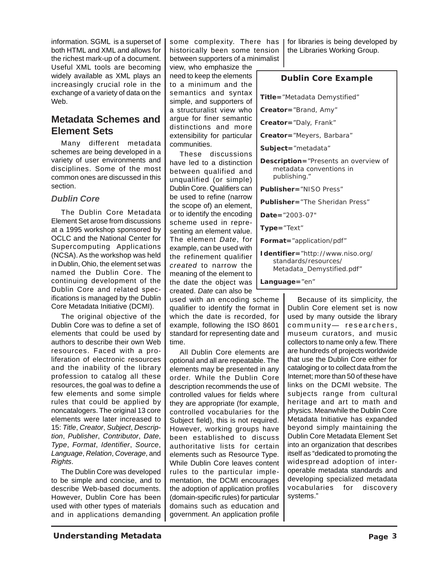information. SGML is a superset of both HTML and XML and allows for the richest mark-up of a document. Useful XML tools are becoming widely available as XML plays an increasingly crucial role in the exchange of a variety of data on the Web.

## **Metadata Schemes and Element Sets**

Many different metadata schemes are being developed in a variety of user environments and disciplines. Some of the most common ones are discussed in this section.

#### *Dublin Core*

The Dublin Core Metadata Element Set arose from discussions at a 1995 workshop sponsored by OCLC and the National Center for Supercomputing Applications (NCSA). As the workshop was held in Dublin, Ohio, the element set was named the Dublin Core. The continuing development of the Dublin Core and related specifications is managed by the Dublin Core Metadata Initiative (DCMI).

The original objective of the Dublin Core was to define a set of elements that could be used by authors to describe their own Web resources. Faced with a proliferation of electronic resources and the inability of the library profession to catalog all these resources, the goal was to define a few elements and some simple rules that could be applied by noncatalogers. The original 13 core elements were later increased to 15: *Title*, *Creator*, *Subject*, *Description*, *Publisher*, *Contributor*, *Date*, *Type*, *Format*, *Identifier*, *Source*, *Language*, *Relation*, *Coverage*, and *Rights*.

The Dublin Core was developed to be simple and concise, and to describe Web-based documents. However, Dublin Core has been used with other types of materials and in applications demanding some complexity. There has | historically been some tension between supporters of a minimalist

view, who emphasize the need to keep the elements to a minimum and the semantics and syntax simple, and supporters of a structuralist view who argue for finer semantic distinctions and more extensibility for particular communities.

These discussions have led to a distinction between qualified and unqualified (or simple) Dublin Core. Qualifiers can be used to refine (narrow the scope of) an element, or to identify the encoding scheme used in representing an element value. The element *Date*, for example, can be used with the refinement qualifier *created* to narrow the meaning of the element to the date the object was created. *Date* can also be

used with an encoding scheme qualifier to identify the format in which the date is recorded, for example, following the ISO 8601 standard for representing date and time.

All Dublin Core elements are optional and all are repeatable. The elements may be presented in any order. While the Dublin Core description recommends the use of controlled values for fields where they are appropriate (for example, controlled vocabularies for the Subject field), this is not required. However, working groups have been established to discuss authoritative lists for certain elements such as Resource Type. While Dublin Core leaves content rules to the particular implementation, the DCMI encourages the adoption of application profiles (domain-specific rules) for particular domains such as education and government. An application profile

for libraries is being developed by the Libraries Working Group.

#### **Dublin Core Example**

**Title=**"Metadata Demystified"

**Creator=**"Brand, Amy"

**Creator=**"Daly, Frank"

**Creator=**"Meyers, Barbara"

**Subject=**"metadata"

**Description=**"Presents an overview of metadata conventions in publishing."

**Publisher=**"NISO Press"

**Publisher=**"The Sheridan Press"

**Date=**"2003-07"

**Type=**"Text"

**Format=**"application/pdf"

**Identifier=**"http://www.niso.org/ standards/resources/ [Metadata\\_Demystified.pdf"](http://www.niso.org/standards/resources/Metadata_Demystified.pdf)

**Language=**"en"

Because of its simplicity, the Dublin Core element set is now used by many outside the library community— researchers, museum curators, and music collectors to name only a few. There are hundreds of projects worldwide that use the Dublin Core either for cataloging or to collect data from the Internet; more than 50 of these have links on the DCMI website. The subjects range from cultural heritage and art to math and physics. Meanwhile the Dublin Core Metadata Initiative has expanded beyond simply maintaining the Dublin Core Metadata Element Set into an organization that describes itself as "dedicated to promoting the widespread adoption of interoperable metadata standards and developing specialized metadata vocabularies for discovery systems."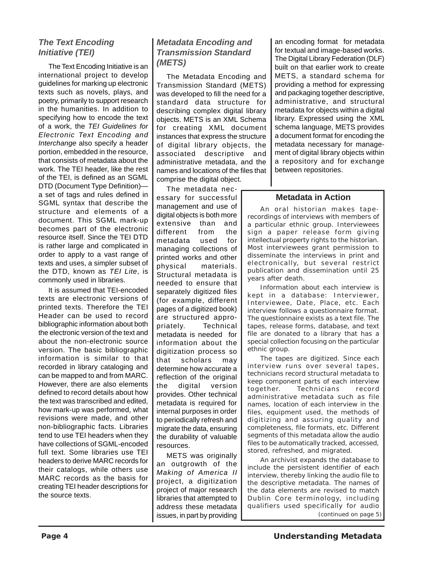## *The Text Encoding Initiative (TEI)*

The Text Encoding Initiative is an international project to develop guidelines for marking up electronic texts such as novels, plays, and poetry, primarily to support research in the humanities. In addition to specifying how to encode the text of a work, the *TEI Guidelines for Electronic Text Encoding and Interchange* also specify a header portion, embedded in the resource, that consists of metadata about the work. The TEI header, like the rest of the TEI, is defined as an SGML DTD (Document Type Definition) a set of tags and rules defined in SGML syntax that describe the structure and elements of a document. This SGML mark-up becomes part of the electronic resource itself. Since the TEI DTD is rather large and complicated in order to apply to a vast range of texts and uses, a simpler subset of the DTD, known as *TEI Lite*, is commonly used in libraries.

It is assumed that TEI-encoded texts are electronic versions of printed texts. Therefore the TEI Header can be used to record bibliographic information about both the electronic version of the text and about the non-electronic source version. The basic bibliographic information is similar to that recorded in library cataloging and can be mapped to and from MARC. However, there are also elements defined to record details about how the text was transcribed and edited, how mark-up was performed, what revisions were made, and other non-bibliographic facts. Libraries tend to use TEI headers when they have collections of SGML-encoded full text. Some libraries use TEI headers to derive MARC records for their catalogs, while others use MARC records as the basis for creating TEI header descriptions for the source texts.

## *Metadata Encoding and Transmission Standard (METS)*

The Metadata Encoding and Transmission Standard (METS) was developed to fill the need for a standard data structure for describing complex digital library objects. METS is an XML Schema for creating XML document instances that express the structure of digital library objects, the associated descriptive and administrative metadata, and the names and locations of the files that comprise the digital object.

The metadata necessary for successful management and use of digital objects is both more extensive than and different from the metadata used for managing collections of printed works and other physical materials. Structural metadata is needed to ensure that separately digitized files (for example, different pages of a digitized book) are structured appropriately. Technical metadata is needed for information about the digitization process so that scholars may determine how accurate a reflection of the original the digital version provides. Other technical metadata is required for internal purposes in order to periodically refresh and migrate the data, ensuring the durability of valuable resources.

METS was originally an outgrowth of the *Making of America II* project, a digitization project of major research libraries that attempted to address these metadata issues, in part by providing

an encoding format for metadata for textual and image-based works. The Digital Library Federation (DLF) built on that earlier work to create METS, a standard schema for providing a method for expressing and packaging together descriptive, administrative, and structural metadata for objects within a digital library. Expressed using the XML schema language, METS provides a document format for encoding the metadata necessary for management of digital library objects within a repository and for exchange between repositories.

#### **Metadata in Action**

An oral historian makes taperecordings of interviews with members of a particular ethnic group. Interviewees sign a paper release form giving intellectual property rights to the historian. Most interviewees grant permission to disseminate the interviews in print and electronically, but several restrict publication and dissemination until 25 years after death.

Information about each interview is kept in a database: *Interviewer*, *Interviewee*, *Date*, *Place*, etc. Each interview follows a questionnaire format. The questionnaire exists as a text file. The tapes, release forms, database, and text file are donated to a library that has a special collection focusing on the particular ethnic group.

The tapes are digitized. Since each interview runs over several tapes, technicians record structural metadata to keep component parts of each interview together. Technicians record administrative metadata such as file names, location of each interview in the files, equipment used, the methods of digitizing and assuring quality and completeness, file formats, etc. Different segments of this metadata allow the audio files to be automatically tracked, accessed, stored, refreshed, and migrated.

An archivist expands the database to include the persistent identifier of each interview, thereby linking the audio file to the descriptive metadata. The names of the data elements are revised to match Dublin Core terminology, including qualifiers used specifically for audio *(continued on page 5)*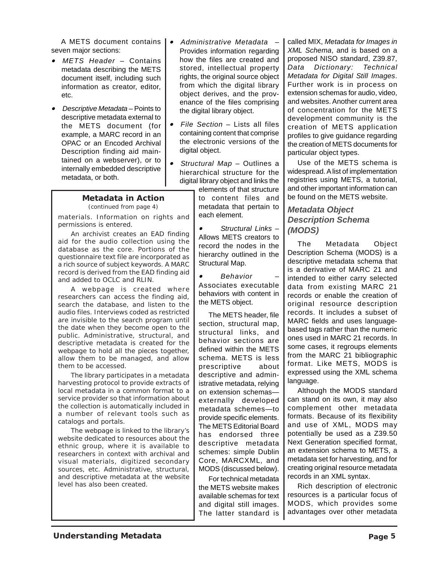A METS document contains seven major sections:

- *METS Header* Contains metadata describing the METS document itself, including such information as creator, editor, etc.
- *Descriptive Metadata*  Points to descriptive metadata external to the METS document (for example, a MARC record in an OPAC or an Encoded Archival Description finding aid maintained on a webserver), or to internally embedded descriptive metadata, or both.
	- **Metadata in Action** *(continued from page 4)*

materials. Information on rights and permissions is entered.

An archivist creates an EAD finding aid for the audio collection using the database as the core. Portions of the questionnaire text file are incorporated as a rich source of subject keywords. A MARC record is derived from the EAD finding aid and added to OCLC and RLIN.

A webpage is created where researchers can access the finding aid, search the database, and listen to the audio files. Interviews coded as restricted are invisible to the search program until the date when they become open to the public. Administrative, structural, and descriptive metadata is created for the webpage to hold all the pieces together, allow them to be managed, and allow them to be accessed.

The library participates in a metadata harvesting protocol to provide extracts of local metadata in a common format to a service provider so that information about the collection is automatically included in a number of relevant tools such as catalogs and portals.

The webpage is linked to the library's website dedicated to resources about the ethnic group, where it is available to researchers in context with archival and visual materials, digitized secondary sources, etc. Administrative, structural, and descriptive metadata at the website level has also been created.

- • *Administrative Metadata* – Provides information regarding how the files are created and stored, intellectual property rights, the original source object from which the digital library object derives, and the provenance of the files comprising the digital library object.
- *File Section* Lists all files containing content that comprise the electronic versions of the digital object.
- • *Structural Map* – Outlines a hierarchical structure for the digital library object and links the

elements of that structure to content files and metadata that pertain to each element.

• *Structural Links* – Allows METS creators to record the nodes in the hierarchy outlined in the Structural Map.

• *Behavior* – Associates executable behaviors with content in the METS object.

The METS header, file section, structural map, structural links, and behavior sections are defined within the METS schema. METS is less prescriptive about descriptive and administrative metadata, relying on extension schemas externally developed metadata schemes—to provide specific elements. The METS Editorial Board has endorsed three descriptive metadata schemes: simple Dublin Core, MARCXML, and MODS (discussed below).

For technical metadata the METS website makes available schemas for text and digital still images. The latter standard is called MIX, *Metadata for Images in XML Schema*, and is based on a proposed NISO standard, Z39.87, *Data Dictionary: Technical Metadata for Digital Still Images*. Further work is in process on extension schemas for audio, video, and websites. Another current area of concentration for the METS development community is the creation of METS application profiles to give guidance regarding the creation of METS documents for particular object types.

Use of the METS schema is widespread. A list of implementation registries using METS, a tutorial, and other important information can be found on the METS website.

#### *Metadata Object Description Schema (MODS)*

The Metadata Object Description Schema (MODS) is a descriptive metadata schema that is a derivative of MARC 21 and intended to either carry selected data from existing MARC 21 records or enable the creation of original resource description records. It includes a subset of MARC fields and uses languagebased tags rather than the numeric ones used in MARC 21 records. In some cases, it regroups elements from the MARC 21 bibliographic format. Like METS, MODS is expressed using the XML schema language.

Although the MODS standard can stand on its own, it may also complement other metadata formats. Because of its flexibility and use of XML, MODS may potentially be used as a Z39.50 Next Generation specified format, an extension schema to METS, a metadata set for harvesting, and for creating original resource metadata records in an XML syntax.

Rich description of electronic resources is a particular focus of MODS, which provides some advantages over other metadata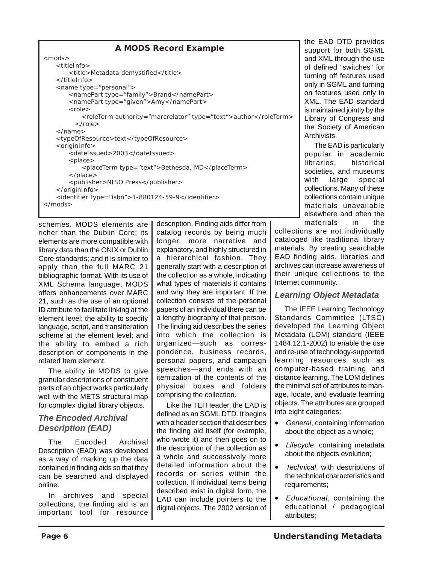| A MODS Record Example                                                                                                                                                                                                                                                                                                                                                                                                                                                                                                                                                                                                                                                                                                                                  |
|--------------------------------------------------------------------------------------------------------------------------------------------------------------------------------------------------------------------------------------------------------------------------------------------------------------------------------------------------------------------------------------------------------------------------------------------------------------------------------------------------------------------------------------------------------------------------------------------------------------------------------------------------------------------------------------------------------------------------------------------------------|
| $<$ mods $>$<br><titleinfo><br/><title>Metadata demystified</title><br/><math>\langle</math>/titleInfo<math>&gt;</math><br/><name type="personal"><br/><namepart type="family">Brand</namepart><br/><namepart type="given">Amy</namepart><br/><math>&lt;</math>role<math>&gt;</math><br/><roleterm authority="marcrelator" type="text">author</roleterm><br/><math>\langle</math> /role <math>&gt;</math><br/><math>\langle</math>/name&gt;<br/><typeofresource>text</typeofresource><br/><origininfo><br/><datelssued>2003</datelssued><br/><math>&lt;</math>place<math>&gt;</math><br/><placeterm type="text">Bethesda, MD</placeterm><br/><math>\langle</math>/place&gt;<br/><publisher>NISO Press</publisher><br/></origininfo></name></titleinfo> |
| <identifier type="isbn">1-880124-59-9</identifier><br>$<$ /mods>                                                                                                                                                                                                                                                                                                                                                                                                                                                                                                                                                                                                                                                                                       |
|                                                                                                                                                                                                                                                                                                                                                                                                                                                                                                                                                                                                                                                                                                                                                        |

schemes. MODS elements are richer than the Dublin Core; its elements are more compatible with library data than the ONIX or Dublin Core standards; and it is simpler to apply than the full MARC 21 bibliographic format. With its use of XML Schema language, MODS offers enhancements over MARC 21, such as the use of an optional ID attribute to facilitate linking at the element level; the ability to specify language, script, and transliteration scheme at the element level; and the ability to embed a rich description of components in the related Item element.

The ability in MODS to give granular descriptions of constituent parts of an object works particularly well with the METS structural map for complex digital library objects.

#### *The Encoded Archival Description (EAD)*

The Encoded Archival Description (EAD) was developed as a way of marking up the data contained in finding aids so that they can be searched and displayed online.

In archives and special collections, the finding aid is an important tool for resource description. Finding aids differ from catalog records by being much longer, more narrative and explanatory, and highly structured in a hierarchical fashion. They generally start with a description of the collection as a whole, indicating what types of materials it contains and why they are important. If the collection consists of the personal papers of an individual there can be a lengthy biography of that person. The finding aid describes the series into which the collection is organized—such as correspondence, business records, personal papers, and campaign speeches—and ends with an itemization of the contents of the physical boxes and folders comprising the collection.

Like the TEI Header, the EAD is defined as an SGML DTD. It begins with a header section that describes the finding aid itself (for example, who wrote it) and then goes on to the description of the collection as a whole and successively more detailed information about the records or series within the collection. If individual items being described exist in digital form, the EAD can include pointers to the digital objects. The 2002 version of the EAD DTD provides support for both SGML and XML through the use of defined "switches" for turning off features used only in SGML and turning on features used only in XML. The EAD standard is maintained jointly by the Library of Congress and the Society of American Archivists.

The EAD is particularly popular in academic libraries, historical societies, and museums with large special collections. Many of these collections contain unique materials unavailable elsewhere and often the materials in the

collections are not individually cataloged like traditional library materials. By creating searchable EAD finding aids, libraries and archives can increase awareness of their unique collections to the Internet community.

## *Learning Object Metadata*

The IEEE Learning Technology Standards Committee (LTSC) developed the Learning Object Metadata (LOM) standard (IEEE 1484.12.1-2002) to enable the use and re-use of technology-supported learning resources such as computer-based training and distance learning. The LOM defines the minimal set of attributes to manage, locate, and evaluate learning objects. The attributes are grouped into eight categories:

- *General*, containing information about the object as a whole;
- *Lifecycle*, containing metadata about the objects evolution;
- *Technical*, with descriptions of the technical characteristics and requirements;
- *Educational*, containing the educational / pedagogical attributes;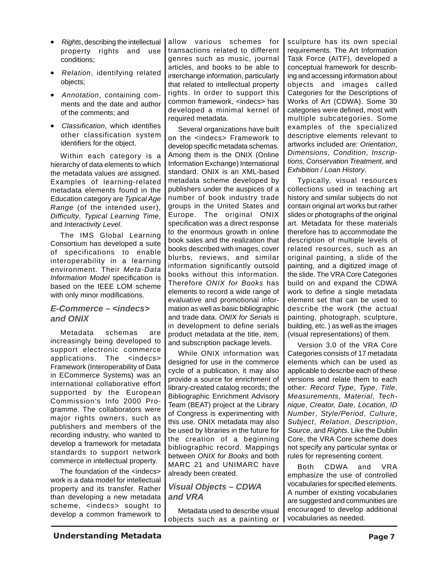- *Rights*, describing the intellectual property rights and use conditions;
- *Relation*, identifying related objects;
- *Annotation*, containing comments and the date and author of the comments; and
- *Classification*, which identifies other classification system identifiers for the object.

Within each category is a hierarchy of data elements to which the metadata values are assigned. Examples of learning-related metadata elements found in the Education category are *Typical Age Range* (of the intended user), *Difficulty*, *Typical Learning Time*, and *Interactivity Level*.

The IMS Global Learning Consortium has developed a suite of specifications to enable interoperability in a learning environment. Their *Meta-Data Information Model* specification is based on the IEEE LOM scheme with only minor modifications.

#### *E-Commerce – <indecs> and ONIX*

Metadata schemas are increasingly being developed to support electronic commerce applications. The <indecs> Framework (Interoperability of Data in ECommerce Systems) was an international collaborative effort supported by the European Commission's Info 2000 Programme. The collaborators were major rights owners, such as publishers and members of the recording industry, who wanted to develop a framework for metadata standards to support network commerce in intellectual property.

The foundation of the <indecs> work is a data model for intellectual property and its transfer. Rather than developing a new metadata scheme, <indecs> sought to develop a common framework to

allow various schemes for transactions related to different genres such as music, journal articles, and books to be able to interchange information, particularly that related to intellectual property rights. In order to support this common framework, <indecs> has developed a minimal kernel of required metadata.

Several organizations have built on the <indecs> Framework to develop specific metadata schemas. Among them is the ONIX (Online Information Exchange) International standard. ONIX is an XML-based metadata scheme developed by publishers under the auspices of a number of book industry trade groups in the United States and Europe. The original ONIX specification was a direct response to the enormous growth in online book sales and the realization that books described with images, cover blurbs, reviews, and similar information significantly outsold books without this information. Therefore *ONIX for Books* has elements to record a wide range of evaluative and promotional information as well as basic bibliographic and trade data. *ONIX for Serials* is in development to define serials product metadata at the title, item, and subscription package levels.

While ONIX information was designed for use in the commerce cycle of a publication, it may also provide a source for enrichment of library-created catalog records; the Bibliographic Enrichment Advisory Team (BEAT) project at the Library of Congress is experimenting with this use. ONIX metadata may also be used by libraries in the future for the creation of a beginning bibliographic record. Mappings between *ONIX for Books* and both MARC 21 and UNIMARC have already been created.

#### *Visual Objects – CDWA and VRA*

Metadata used to describe visual objects such as a painting or

sculpture has its own special requirements. The Art Information Task Force (AITF), developed a conceptual framework for describing and accessing information about objects and images called Categories for the Descriptions of Works of Art (CDWA). Some 30 categories were defined, most with multiple subcategories. Some examples of the specialized descriptive elements relevant to artworks included are: *Orientation*, *Dimensions*, *Condition*, *Inscriptions*, *Conservation Treatment*, and *Exhibition / Loan History*.

Typically, visual resources collections used in teaching art history and similar subjects do not contain original art works but rather slides or photographs of the original art. Metadata for these materials therefore has to accommodate the description of multiple levels of related resources, such as an original painting, a slide of the painting, and a digitized image of the slide. The VRA Core Categories build on and expand the CDWA work to define a single metadata element set that can be used to describe the work (the actual painting, photograph, sculpture, building, etc. ) as well as the images (visual representations) of them.

Version 3.0 of the VRA Core Categories consists of 17 metadata elements which can be used as applicable to describe each of these versions and relate them to each other: *Record Type*, *Type*, *Title*, *Measurements*, *Material*, *Technique*, *Creator, Date*, *Location*, *ID Number*, *Style/Period*, *Culture*, *Subject*, *Relation*, *Description*, *Source*, and *Rights*. Like the Dublin Core, the VRA Core scheme does not specify any particular syntax or rules for representing content.

Both CDWA and VRA emphasize the use of controlled vocabularies for specified elements. A number of existing vocabularies are suggested and communities are encouraged to develop additional vocabularies as needed.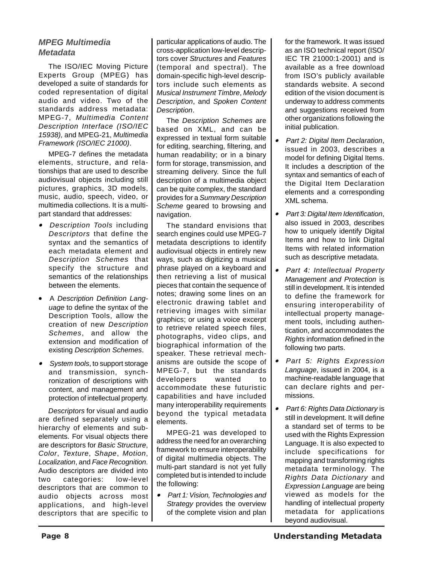## *MPEG Multimedia Metadata*

The ISO/IEC Moving Picture Experts Group (MPEG) has developed a suite of standards for coded representation of digital audio and video. Two of the standards address metadata: MPEG-7, *Multimedia Content Description Interface (ISO/IEC 15938),* and MPEG-21, *Multimedia Framework (ISO/IEC 21000)*.

MPEG-7 defines the metadata elements, structure, and relationships that are used to describe audiovisual objects including still pictures, graphics, 3D models, music, audio, speech, video, or multimedia collections. It is a multipart standard that addresses:

- • *Description Tools* including *Descriptors* that define the syntax and the semantics of each metadata element and *Description Schemes* that specify the structure and semantics of the relationships between the elements.
- A *Description Definition Language* to define the syntax of the Description Tools, allow the creation of new *Description Schemes*, and allow the extension and modification of existing *Description Schemes*.
- *System tools*, to support storage and transmission, synchronization of descriptions with content, and management and protection of intellectual property.

*Descriptors* for visual and audio are defined separately using a hierarchy of elements and subelements. For visual objects there are descriptors for *Basic Structure*, *Color*, *Texture*, *Shape*, *Motion*, *Localization*, and *Face Recognition*. Audio descriptors are divided into two categories: low-level descriptors that are common to audio objects across most applications, and high-level descriptors that are specific to particular applications of audio. The cross-application low-level descriptors cover *Structures* and *Features* (temporal and spectral). The domain-specific high-level descriptors include such elements as *Musical Instrument Timbre*, *Melody Description*, and *Spoken Content Description*.

The *Description Schemes* are based on XML, and can be expressed in textual form suitable for editing, searching, filtering, and human readability; or in a binary form for storage, transmission, and streaming delivery. Since the full description of a multimedia object can be quite complex, the standard provides for a *Summary Description Scheme* geared to browsing and navigation.

The standard envisions that search engines could use MPEG-7 metadata descriptions to identify audiovisual objects in entirely new ways, such as digitizing a musical phrase played on a keyboard and then retrieving a list of musical pieces that contain the sequence of notes; drawing some lines on an electronic drawing tablet and retrieving images with similar graphics; or using a voice excerpt to retrieve related speech files, photographs, video clips, and biographical information of the speaker. These retrieval mechanisms are outside the scope of MPEG-7, but the standards developers wanted to accommodate these futuristic capabilities and have included many interoperability requirements beyond the typical metadata elements.

MPEG-21 was developed to address the need for an overarching framework to ensure interoperability of digital multimedia objects. The multi-part standard is not yet fully completed but is intended to include the following:

• *Part 1: Vision, Technologies and Strategy* provides the overview of the complete vision and plan

for the framework. It was issued as an ISO technical report (ISO/ IEC TR 21000:1-2001) and is available as a free download from ISO's publicly available standards website. A second edition of the vision document is underway to address comments and suggestions received from other organizations following the initial publication.

- • *Part 2: Digital Item Declaration*, issued in 2003, describes a model for defining Digital Items. It includes a description of the syntax and semantics of each of the Digital Item Declaration elements and a corresponding XML schema.
- *Part 3: Digital Item Identification*, also issued in 2003, describes how to uniquely identify Digital Items and how to link Digital Items with related information such as descriptive metadata.
- • *Part 4: Intellectual Property Management and Protection* is still in development. It is intended to define the framework for ensuring interoperability of intellectual property management tools, including authentication, and accommodates the *Rights* information defined in the following two parts.
- • *Part 5: Rights Expression Language*, issued in 2004, is a machine-readable language that can declare rights and permissions.
- • *Part 6: Rights Data Dictionary* is still in development. It will define a standard set of terms to be used with the Rights Expression Language. It is also expected to include specifications for mapping and transforming rights metadata terminology. The *Rights Data Dictionary* and *Expression Language* are being viewed as models for the handling of intellectual property metadata for applications beyond audiovisual.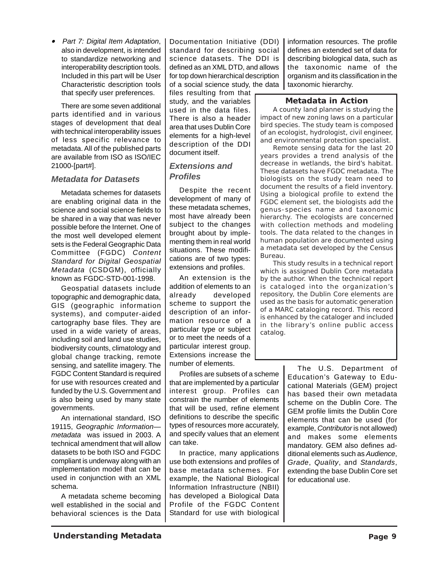• *Part 7: Digital Item Adaptation*, also in development, is intended to standardize networking and interoperability description tools. Included in this part will be User Characteristic description tools that specify user preferences.

There are some seven additional parts identified and in various stages of development that deal with technical interoperability issues of less specific relevance to metadata. All of the published parts are available from ISO as ISO/IEC 21000-[part#].

#### *Metadata for Datasets*

Metadata schemes for datasets are enabling original data in the science and social science fields to be shared in a way that was never possible before the Internet. One of the most well developed element sets is the Federal Geographic Data Committee (FGDC) *Content Standard for Digital Geospatial Metadata* (CSDGM), officially known as FGDC-STD-001-1998.

Geospatial datasets include topographic and demographic data, GIS (geographic information systems), and computer-aided cartography base files. They are used in a wide variety of areas, including soil and land use studies, biodiversity counts, climatology and global change tracking, remote sensing, and satellite imagery. The FGDC Content Standard is required for use with resources created and funded by the U.S. Government and is also being used by many state governments.

An international standard, ISO 19115, *Geographic Information metadata* was issued in 2003. A technical amendment that will allow datasets to be both ISO and FGDC compliant is underway along with an implementation model that can be used in conjunction with an XML schema.

A metadata scheme becoming well established in the social and behavioral sciences is the Data Documentation Initiative (DDI) standard for describing social science datasets. The DDI is defined as an XML DTD, and allows for top down hierarchical description of a social science study, the data

files resulting from that study, and the variables used in the data files. There is also a header area that uses Dublin Core elements for a high-level description of the DDI document itself.

#### *Extensions and Profiles*

Despite the recent development of many of these metadata schemes, most have already been subject to the changes brought about by implementing them in real world situations. These modifications are of two types: extensions and profiles.

An extension is the addition of elements to an already developed scheme to support the description of an information resource of a particular type or subject or to meet the needs of a particular interest group. Extensions increase the number of elements.

Profiles are subsets of a scheme that are implemented by a particular interest group. Profiles can constrain the number of elements that will be used, refine element definitions to describe the specific types of resources more accurately, and specify values that an element can take.

In practice, many applications use both extensions and profiles of base metadata schemes. For example, the National Biological Information Infrastructure (NBII) has developed a Biological Data Profile of the FGDC Content Standard for use with biological

information resources. The profile defines an extended set of data for describing biological data, such as the taxonomic name of the organism and its classification in the taxonomic hierarchy.

#### **Metadata in Action**

A county land planner is studying the impact of new zoning laws on a particular bird species. The study team is composed of an ecologist, hydrologist, civil engineer, and environmental protection specialist.

Remote sensing data for the last 20 years provides a trend analysis of the decrease in wetlands, the bird's habitat. These datasets have FGDC metadata. The biologists on the study team need to document the results of a field inventory. Using a biological profile to extend the FGDC element set, the biologists add the genus-species name and taxonomic hierarchy. The ecologists are concerned with collection methods and modeling tools. The data related to the changes in human population are documented using a metadata set developed by the Census Bureau.

This study results in a technical report which is assigned Dublin Core metadata by the author. When the technical report is cataloged into the organization's repository, the Dublin Core elements are used as the basis for automatic generation of a MARC cataloging record. This record is enhanced by the cataloger and included in the library's online public access catalog.

> The U.S. Department of Education's Gateway to Educational Materials (GEM) project has based their own metadata scheme on the Dublin Core. The GEM profile limits the Dublin Core elements that can be used (for example, *Contributor* is not allowed) and makes some elements mandatory. GEM also defines additional elements such as *Audience*, *Grade*, *Quality*, and *Standards*, extending the base Dublin Core set for educational use.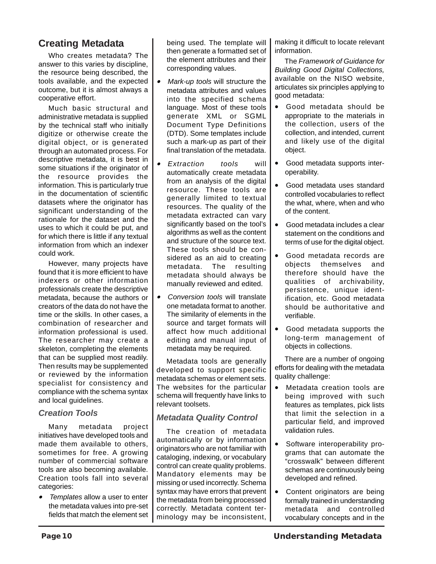## **Creating Metadata**

Who creates metadata? The answer to this varies by discipline, the resource being described, the tools available, and the expected outcome, but it is almost always a cooperative effort.

Much basic structural and administrative metadata is supplied by the technical staff who initially digitize or otherwise create the digital object, or is generated through an automated process. For descriptive metadata, it is best in some situations if the originator of the resource provides the information. This is particularly true in the documentation of scientific datasets where the originator has significant understanding of the rationale for the dataset and the uses to which it could be put, and for which there is little if any textual information from which an indexer could work.

However, many projects have found that it is more efficient to have indexers or other information professionals create the descriptive metadata, because the authors or creators of the data do not have the time or the skills. In other cases, a combination of researcher and information professional is used. The researcher may create a skeleton, completing the elements that can be supplied most readily. Then results may be supplemented or reviewed by the information specialist for consistency and compliance with the schema syntax and local guidelines.

#### *Creation Tools*

Many metadata project initiatives have developed tools and made them available to others, sometimes for free. A growing number of commercial software tools are also becoming available. Creation tools fall into several categories:

• *Templates* allow a user to enter the metadata values into pre-set fields that match the element set being used. The template will then generate a formatted set of the element attributes and their corresponding values.

- • *Mark-up tools* will structure the metadata attributes and values into the specified schema language. Most of these tools generate XML or SGML Document Type Definitions (DTD). Some templates include such a mark-up as part of their final translation of the metadata.
- • *Extraction tools* will automatically create metadata from an analysis of the digital resource. These tools are generally limited to textual resources. The quality of the metadata extracted can vary significantly based on the tool's algorithms as well as the content and structure of the source text. These tools should be considered as an aid to creating metadata. The resulting metadata should always be manually reviewed and edited.
- • *Conversion tools* will translate one metadata format to another. The similarity of elements in the source and target formats will affect how much additional editing and manual input of metadata may be required.

Metadata tools are generally developed to support specific metadata schemas or element sets. The websites for the particular schema will frequently have links to relevant toolsets.

## *Metadata Quality Control*

The creation of metadata automatically or by information originators who are not familiar with cataloging, indexing, or vocabulary control can create quality problems. Mandatory elements may be missing or used incorrectly. Schema syntax may have errors that prevent the metadata from being processed correctly. Metadata content terminology may be inconsistent,

making it difficult to locate relevant information.

The *Framework of Guidance for Building Good Digital Collections,* available on the NISO website, articulates six principles applying to good metadata:

- Good metadata should be appropriate to the materials in the collection, users of the collection, and intended, current and likely use of the digital object.
- Good metadata supports interoperability.
- Good metadata uses standard controlled vocabularies to reflect the what, where, when and who of the content.
- Good metadata includes a clear statement on the conditions and terms of use for the digital object.
- Good metadata records are objects themselves and therefore should have the qualities of archivability, persistence, unique identification, etc. Good metadata should be authoritative and verifiable.
- Good metadata supports the long-term management of objects in collections.

There are a number of ongoing efforts for dealing with the metadata quality challenge:

- Metadata creation tools are being improved with such features as templates, pick lists that limit the selection in a particular field, and improved validation rules.
- Software interoperability programs that can automate the "crosswalk" between different schemas are continuously being developed and refined.
- Content originators are being formally trained in understanding metadata and controlled vocabulary concepts and in the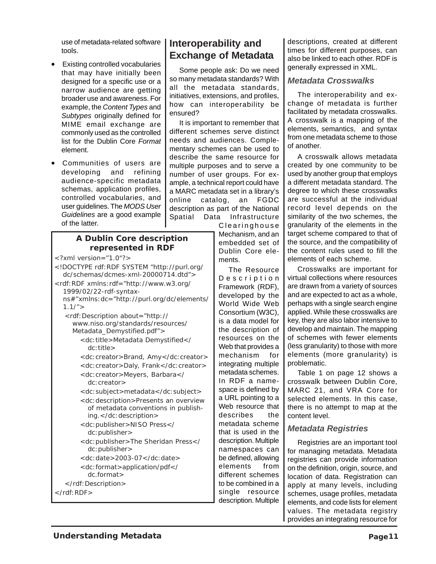use of metadata-related software tools.

- Existing controlled vocabularies that may have initially been designed for a specific use or a narrow audience are getting broader use and awareness. For example, the *Content Types* and *Subtypes* originally defined for MIME email exchange are commonly used as the controlled list for the Dublin Core *Format* element.
- Communities of users are developing and refining audience-specific metadata schemas, application profiles, controlled vocabularies, and user guidelines. The *MODS User Guidelines* are a good example of the latter.

#### **A Dublin Core description represented in RDF**

- <?xml version="1.0"?>
- <!DOCTYPE rdf:RDF SYSTEM "http://purl.org/ dc/schemas/dcmes-xml-20000714.dtd"> <rdf:RDF xmlns:rdf="http://www.w3.org/ 1999/02/22-rdf-syntaxns#"xmlns:dc="http://purl.org/dc/elements/  $1.1/$ " > <rdf:Description about="http:// www.niso.org/standards/resources/ Metadata Demystified.pdf"> <dc:title>Metadata Demystified</ dc: title > <dc:creator>Brand, Amy</dc:creator> <dc:creator>Daly, Frank</dc:creator> <dc:creator>Meyers, Barbara</ dc:creator> <dc:subject>metadata</dc:subject> <dc:description>Presents an overview of metadata conventions in publishing.</dc:description> <dc:publisher>NISO Press</ dc: publisher> <dc:publisher>The Sheridan Press</
	- dc:publisher> <dc:date>2003-07</dc:date>
	- <dc:format>application/pdf</
		- dc.format>
	- </rdf:Description>
- </rdf:RDF>

## **Interoperability and Exchange of Metadata**

Some people ask: Do we need so many metadata standards? With all the metadata standards, initiatives, extensions, and profiles, how can interoperability be ensured?

It is important to remember that different schemes serve distinct needs and audiences. Complementary schemes can be used to describe the same resource for multiple purposes and to serve a number of user groups. For example, a technical report could have a MARC metadata set in a library's online catalog, an FGDC description as part of the National Spatial Data Infrastructure

Clearinghouse Mechanism, and an embedded set of Dublin Core elements.

The Resource Description Framework (RDF), developed by the World Wide Web Consortium (W3C), is a data model for the description of resources on the Web that provides a mechanism for integrating multiple metadata schemes. In RDF a namespace is defined by a URL pointing to a Web resource that describes the metadata scheme that is used in the description. Multiple namespaces can be defined, allowing elements from different schemes to be combined in a single resource description. Multiple

descriptions, created at different times for different purposes, can also be linked to each other. RDF is generally expressed in XML.

## *Metadata Crosswalks*

The interoperability and exchange of metadata is further facilitated by metadata crosswalks. A crosswalk is a mapping of the elements, semantics, and syntax from one metadata scheme to those of another.

A crosswalk allows metadata created by one community to be used by another group that employs a different metadata standard. The degree to which these crosswalks are successful at the individual record level depends on the similarity of the two schemes, the granularity of the elements in the target scheme compared to that of the source, and the compatibility of the content rules used to fill the elements of each scheme.

Crosswalks are important for virtual collections where resources are drawn from a variety of sources and are expected to act as a whole, perhaps with a single search engine applied. While these crosswalks are key, they are also labor intensive to develop and maintain. The mapping of schemes with fewer elements (less granularity) to those with more elements (more granularity) is problematic.

Table 1 on page 12 shows a crosswalk between Dublin Core, MARC 21, and VRA Core for selected elements. In this case, there is no attempt to map at the content level.

## *Metadata Registries*

Registries are an important tool for managing metadata. Metadata registries can provide information on the definition, origin, source, and location of data. Registration can apply at many levels, including schemes, usage profiles, metadata elements, and code lists for element values. The metadata registry provides an integrating resource for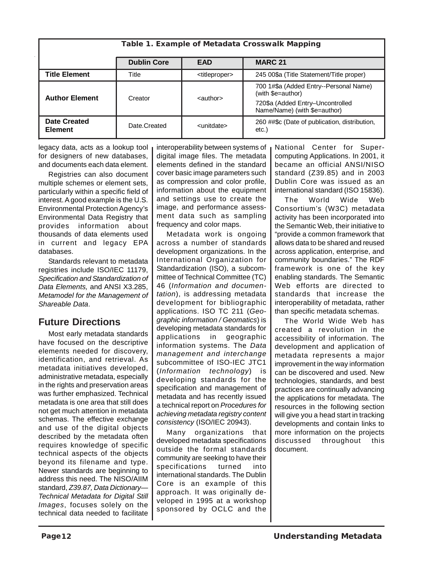| Table 1. Example of Metadata Crosswalk Mapping |                    |                             |                                                                  |  |  |
|------------------------------------------------|--------------------|-----------------------------|------------------------------------------------------------------|--|--|
|                                                | <b>Dublin Core</b> | <b>EAD</b>                  | <b>MARC 21</b>                                                   |  |  |
| <b>Title Element</b>                           | Title              | <titleproper></titleproper> | 245 00\$a (Title Statement/Title proper)                         |  |  |
| <b>Author Element</b>                          | Creator            | <author></author>           | 700 1#\$a (Added Entry--Personal Name)<br>(with \$e=author)      |  |  |
|                                                |                    |                             | 720\$a (Added Entry-Uncontrolled<br>Name/Name) (with \$e=author) |  |  |
| <b>Date Created</b><br><b>Element</b>          | Date Created       | <unitdate></unitdate>       | 260 ##\$c (Date of publication, distribution,<br>etc.)           |  |  |

legacy data, acts as a lookup tool for designers of new databases, and documents each data element.

Registries can also document multiple schemes or element sets, particularly within a specific field of interest. A good example is the U.S. Environmental Protection Agency's Environmental Data Registry that provides information about thousands of data elements used in current and legacy EPA databases.

Standards relevant to metadata registries include ISO/IEC 11179, *Specification and Standardization of Data Elements,* and ANSI X3.285, *Metamodel for the Management of Shareable Data*.

## **Future Directions**

Most early metadata standards have focused on the descriptive elements needed for discovery, identification, and retrieval. As metadata initiatives developed, administrative metadata, especially in the rights and preservation areas was further emphasized. Technical metadata is one area that still does not get much attention in metadata schemas. The effective exchange and use of the digital objects described by the metadata often requires knowledge of specific technical aspects of the objects beyond its filename and type. Newer standards are beginning to address this need. The NISO/AIIM standard, *Z39.87, Data Dictionary— Technical Metadata for Digital Still Images*, focuses solely on the technical data needed to facilitate interoperability between systems of digital image files. The metadata elements defined in the standard cover basic image parameters such as compression and color profile, information about the equipment and settings use to create the image, and performance assessment data such as sampling frequency and color maps.

Metadata work is ongoing across a number of standards development organizations. In the International Organization for Standardization (ISO), a subcommittee of Technical Committee (TC) 46 (*Information and documentation*), is addressing metadata development for bibliographic applications. ISO TC 211 (*Geographic information / Geomatics*) is developing metadata standards for applications in geographic information systems. The *Data management and interchange* subcommittee of ISO-IEC JTC1 (*Information technology*) is developing standards for the specification and management of metadata and has recently issued a technical report on *Procedures for achieving metadata registry content consistency* (ISO/IEC 20943).

Many organizations that developed metadata specifications outside the formal standards community are seeking to have their specifications turned into international standards. The Dublin Core is an example of this approach. It was originally developed in 1995 at a workshop sponsored by OCLC and the

National Center for Supercomputing Applications. In 2001, it became an official ANSI/NISO standard (Z39.85) and in 2003 Dublin Core was issued as an international standard (ISO 15836).

The World Wide Web Consortium's (W3C) metadata activity has been incorporated into the Semantic Web, their initiative to "provide a common framework that allows data to be shared and reused across application, enterprise, and community boundaries." The RDF framework is one of the key enabling standards. The Semantic Web efforts are directed to standards that increase the interoperability of metadata, rather than specific metadata schemas.

The World Wide Web has created a revolution in the accessibility of information. The development and application of metadata represents a major improvement in the way information can be discovered and used. New technologies, standards, and best practices are continually advancing the applications for metadata. The resources in the following section will give you a head start in tracking developments and contain links to more information on the projects discussed throughout this document.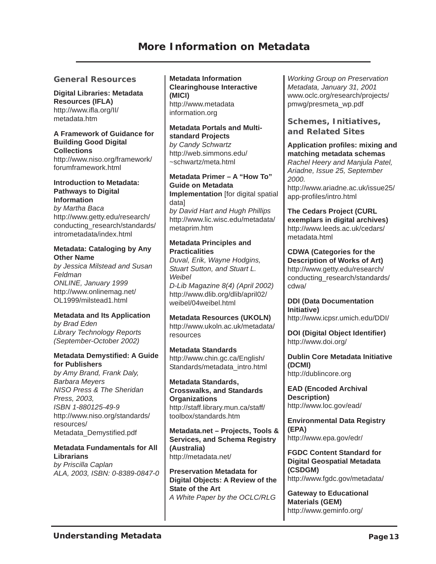#### **General Resources**

**Digital Libraries: Metadata Resources (IFLA)** [http://www.ifla.org/II/](http://www.ifla.org/II/metadata.htm) metadata.htm

**A Framework of Guidance for Building Good Digital Collections**

[http://www.niso.org/framework/](http://www.niso.org/framework/forumframework.html) forumframework.html

#### **Introduction to Metadata: Pathways to Digital Information**

*by Martha Baca* http://www.getty.edu/research/ [conducting\\_research/standards/](http://www.getty.edu/research/conducting_research/standards/intrometadata/index.html) intrometadata/index.html

#### **Metadata: Cataloging by Any Other Name**

*by Jessica Milstead and Susan Feldman ONLINE, January 1999* [http://www.onlinemag.net/](http://www.onlinemag.net/OL1999/milstead1.html) OL1999/milstead1.html

#### **Metadata and Its Application**

*by Brad Eden Library Technology Reports (September-October 2002)*

#### **Metadata Demystified: A Guide for Publishers**

*by Amy Brand, Frank Daly, Barbara Meyers NISO Press & The Sheridan Press, 2003, ISBN 1-880125-49-9* [http://www.niso.org/standards/](http://www.niso.org/standards/resources/Metadata_Demystified.pdf) resources/ Metadata\_Demystified.pdf

**Metadata Fundamentals for All Librarians**

*by Priscilla Caplan ALA, 2003, ISBN: 0-8389-0847-0* **Metadata Information Clearinghouse Interactive (MICI)** [http://www.metadata](http://www.metadatainformation.org) information.org

**Metadata Portals and Multistandard Projects** *by Candy Schwartz* [http://web.simmons.edu/](http://web.simmons.edu/~schwartz/meta.html) ~schwartz/meta.html

**Metadata Primer – A "How To" Guide on Metadata Implementation** [for digital spatial data] *by David Hart and Hugh Phillips* [http://www.lic.wisc.edu/metadata/](http://www.lic.wisc.edu/metadata/metaprim.htm) metaprim.htm

#### **Metadata Principles and Practicalities**

*Duval, Erik, Wayne Hodgins, Stuart Sutton, and Stuart L. Weibel D-Lib Magazine 8(4) (April 2002)* [http://www.dlib.org/dlib/april02/](http://www.dlib.org/dlib/april02/weibel/04weibel.html) weibel/04weibel.html

**Metadata Resources (UKOLN)** [http://www.ukoln.ac.uk/metadata/](http://www.ukoln.ac.uk/metadata/resources) resources

**Metadata Standards** http://www.chin.gc.ca/English/ [Standards/metadata\\_intro.html](http://www.chin.gc.ca/English/Standards/metadata_intro.html)

**Metadata Standards, Crosswalks, and Standards Organizations** [http://staff.library.mun.ca/staff/](http://staff.library.mun.ca/staff/toolbox/standards.htm) toolbox/standards.htm

**Metadata.net – Projects, Tools & Services, and Schema Registry (Australia)** <http://metadata.net/>

**Preservation Metadata for Digital Objects: A Review of the State of the Art** *A White Paper by the OCLC/RLG*

*Working Group on Preservation Metadata, January 31, 2001* [www.oclc.org/research/projects/](http://www.oclc.org/research/projects/pmwg/presmeta_wp.pdf) pmwg/presmeta\_wp.pdf

**Schemes, Initiatives, and Related Sites**

**Application profiles: mixing and matching metadata schemas** *Rachel Heery and Manjula Patel, Ariadne, Issue 25, September 2000.* [http://www.ariadne.ac.uk/issue25/](http://www.ariadne.ac.uk/issue25/app-profiles/intro.html) app-profiles/intro.html

**The Cedars Project (CURL exemplars in digital archives)** [http://www.leeds.ac.uk/cedars/](http://www.leeds.ac.uk/cedars/metadata.html) metadata.html

**CDWA (Categories for the Description of Works of Art)** http://www.getty.edu/research/ [conducting\\_research/standards/](http://www.getty.edu/research/conducting_research/standards/cdwa/) cdwa/

**DDI (Data Documentation Initiative)** <http://www.icpsr.umich.edu/DDI/>

**DOI (Digital Object Identifier)** <http://www.doi.org/>

**Dublin Core Metadata Initiative (DCMI)** <http://dublincore.org>

**EAD (Encoded Archival Description)** <http://www.loc.gov/ead/>

**Environmental Data Registry (EPA)** <http://www.epa.gov/edr/>

**FGDC Content Standard for Digital Geospatial Metadata (CSDGM)** <http://www.fgdc.gov/metadata/>

**Gateway to Educational Materials (GEM)** <http://www.geminfo.org/>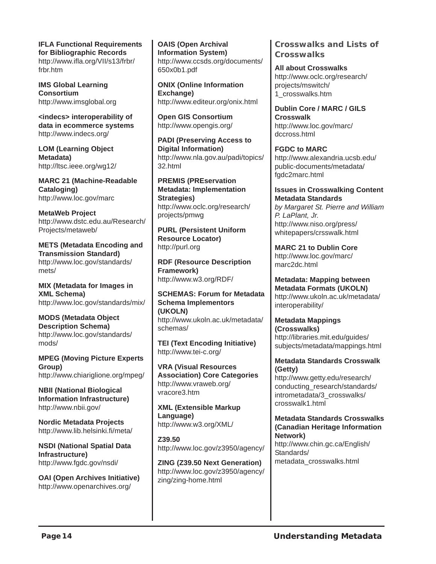**IFLA Functional Requirements for Bibliographic Records** [http://www.ifla.org/VII/s13/frbr/](http://www.ifla.org/VII/s13/frbr/frbr.htm) frbr.htm

**IMS Global Learning Consortium** <http://www.imsglobal.org>

**<indecs> interoperability of data in ecommerce systems** <http://www.indecs.org/>

**LOM (Learning Object Metadata)** <http://ltsc.ieee.org/wg12/>

**MARC 21 (Machine-Readable Cataloging)** <http://www.loc.gov/marc>

**MetaWeb Project** [http://www.dstc.edu.au/Research/](http://www.dstc.edu.au/Research/Projects/metaweb/) Projects/metaweb/

**METS (Metadata Encoding and Transmission Standard)** [http://www.loc.gov/standards/](http://www.loc.gov/standards/mets/) mets/

**MIX (Metadata for Images in XML Schema)** <http://www.loc.gov/standards/mix/>

**MODS (Metadata Object Description Schema)** [http://www.loc.gov/standards/](http://www.loc.gov/standards/mods/) mods/

**MPEG (Moving Picture Experts Group)** <http://www.chiariglione.org/mpeg/>

**NBII (National Biological Information Infrastructure)** <http://www.nbii.gov/>

**Nordic Metadata Projects** <http://www.lib.helsinki.fi/meta/>

**NSDI (National Spatial Data Infrastructure)** <http://www.fgdc.gov/nsdi/>

**OAI (Open Archives Initiative)** <http://www.openarchives.org/>

**OAIS (Open Archival Information System)** [http://www.ccsds.org/documents/](http://www.ccsds.org/documents/650x0b1.pdf) 650x0b1.pdf

**ONIX (Online Information Exchange)** <http://www.editeur.org/onix.html>

**Open GIS Consortium** <http://www.opengis.org/>

**PADI (Preserving Access to Digital Information)** [http://www.nla.gov.au/padi/topics/](http://www.nla.gov.au/padi/topics/32.html) 32.html

**PREMIS (PREservation Metadata: Implementation Strategies)** [http://www.oclc.org/research/](http://www.oclc.org/research/projects/pmwg) projects/pmwg

**PURL (Persistent Uniform Resource Locator)** <http://purl.org>

**RDF (Resource Description Framework)** <http://www.w3.org/RDF/>

**SCHEMAS: Forum for Metadata Schema Implementors (UKOLN)** [http://www.ukoln.ac.uk/metadata/](http://www.ukoln.ac.uk/metadata/schemas/) schemas/

**TEI (Text Encoding Initiative)** <http://www.tei-c.org/>

**VRA (Visual Resources Association) Core Categories** [http://www.vraweb.org/](http://www.vraweb.org/vracore3.htm) vracore3.htm

**XML (Extensible Markup Language)** <http://www.w3.org/XML/>

**Z39.50** <http://www.loc.gov/z3950/agency/>

**ZING (Z39.50 Next Generation)** [http://www.loc.gov/z3950/agency/](http://www.loc.gov/z3950/agency/zing/zing-home.html) zing/zing-home.html

**Crosswalks and Lists of Crosswalks**

**All about Crosswalks** [http://www.oclc.org/research/](http://www.oclc.org/research/projects/mswitch/1_crosswalks.htm) projects/mswitch/ 1\_crosswalks.htm

**Dublin Core / MARC / GILS Crosswalk** [http://www.loc.gov/marc/](http://www.loc.gov/marc/dccross.html) dccross.html

**FGDC to MARC** [http://www.alexandria.ucsb.edu/](http://www.alexandria.ucsb.edu/public-documents/metadata/fgdc2marc.html) public-documents/metadata/ fgdc2marc.html

#### **Issues in Crosswalking Content Metadata Standards**

*by Margaret St. Pierre and William P. LaPlant, Jr.* http://www.niso.org/press/ [whitepapers/crsswalk.html](http://www.niso.org/press/whitepapers/crsswalk.html)

**MARC 21 to Dublin Core** [http://www.loc.gov/marc/](http://www.loc.gov/marc/marc2dc.html) marc2dc.html

**Metadata: Mapping between Metadata Formats (UKOLN)** [http://www.ukoln.ac.uk/metadata/](http://www.ukoln.ac.uk/metadata/interoperability/) interoperability/

**Metadata Mappings (Crosswalks)** http://libraries.mit.edu/guides/ [subjects/metadata/mappings.html](http://libraries.mit.edu/guides/subjects/metadata/mappings.html)

#### **Metadata Standards Crosswalk (Getty)**

http://www.getty.edu/research/ [conducting\\_research/standards/](http://www.getty.edu/research/conducting_research/standards/intrometadata/3_crosswalks/crosswalk1.html) intrometadata/3\_crosswalks/ crosswalk1.html

#### **Metadata Standards Crosswalks (Canadian Heritage Information Network)**

[http://www.chin.gc.ca/English/](http://www.chin.gc.ca/English/Standards/metadata_crosswalks.html) Standards/ metadata\_crosswalks.html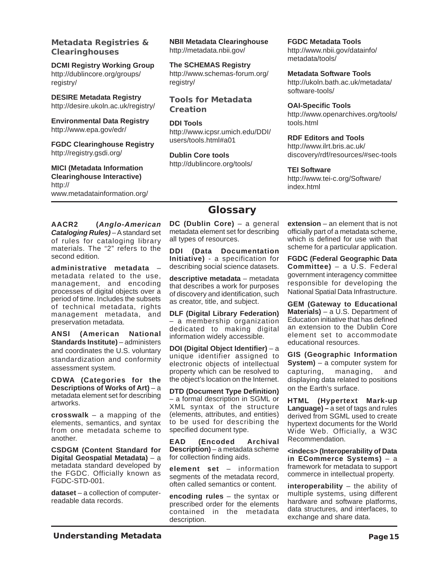**Metadata Registries & Clearinghouses**

**DCMI Registry Working Group** [http://dublincore.org/groups/](http://dublincore.org/groups/registry/) registry/

**DESIRE Metadata Registry** <http://desire.ukoln.ac.uk/registry/>

**Environmental Data Registry** <http://www.epa.gov/edr/>

**FGDC Clearinghouse Registry** <http://registry.gsdi.org/>

**MICI (Metadata Information Clearinghouse Interactive)** http:// [www.metadatainformation.org/](http://www.metadatainformation.org/) **NBII Metadata Clearinghouse** <http://metadata.nbii.gov/>

**The SCHEMAS Registry** [http://www.schemas-forum.org/](http://www.schemas-forum.org/registry/) registry/

**Tools for Metadata Creation**

**DDI Tools** [http://www.icpsr.umich.edu/DDI/](http://www.icpsr.umich.edu/DDI/users/tools.html#a01) users/tools.html#a01

**Dublin Core tools** <http://dublincore.org/tools/> **FGDC Metadata Tools** [http://www.nbii.gov/datainfo/](http://www.nbii.gov/datainfo/metadata/tools/) metadata/tools/

**Metadata Software Tools** [http://ukoln.bath.ac.uk/metadata/](http://ukoln.bath.ac.uk/metadata/software-tools/) software-tools/

**OAI-Specific Tools** [http://www.openarchives.org/tools/](http://www.openarchives.org/tools/tools.html) tools.html

**RDF Editors and Tools**

http://www.ilrt.bris.ac.uk/ [discovery/rdf/resources/#sec-tools](http://www.ilrt.bris.ac.uk/discovery/rdf/resources/#sec-tools)

#### **TEI Software**

[http://www.tei-c.org/Software/](http://www.tei-c.org/Software/index.html) index.html

# **Glossary**

**AACR2 (***Anglo-American Cataloging Rules)* – A standard set of rules for cataloging library materials. The "2" refers to the second edition.

**administrative metadata** – metadata related to the use, management, and encoding processes of digital objects over a period of time. Includes the subsets of technical metadata, rights management metadata, and preservation metadata.

**ANSI (American National Standards Institute)** – administers and coordinates the U.S. voluntary standardization and conformity assessment system.

**CDWA (Categories for the Descriptions of Works of Art)** – a metadata element set for describing artworks.

**crosswalk** – a mapping of the elements, semantics, and syntax from one metadata scheme to another.

**CSDGM (Content Standard for Digital Geospatial Metadata)** – a metadata standard developed by the FGDC. Officially known as FGDC-STD-001.

**dataset** – a collection of computerreadable data records.

**DC (Dublin Core)** – a general metadata element set for describing all types of resources.

**DDI (Data Documentation Initiative)** - a specification for describing social science datasets.

**descriptive metadata** – metadata that describes a work for purposes of discovery and identification, such as creator, title, and subject.

**DLF (Digital Library Federation)** – a membership organization dedicated to making digital information widely accessible.

**DOI (Digital Object Identifier)** – a unique identifier assigned to electronic objects of intellectual property which can be resolved to the object's location on the Internet.

**DTD (Document Type Definition)** – a formal description in SGML or XML syntax of the structure (elements, attributes, and entities) to be used for describing the specified document type.

**EAD (Encoded Archival Description)** – a metadata scheme for collection finding aids.

**element set** – information segments of the metadata record, often called semantics or content.

**encoding rules** – the syntax or prescribed order for the elements contained in the metadata description.

**extension** – an element that is not officially part of a metadata scheme, which is defined for use with that scheme for a particular application.

**FGDC (Federal Geographic Data Committee)** – a U.S. Federal government interagency committee responsible for developing the National Spatial Data Infrastructure.

**GEM (Gateway to Educational Materials)** – a U.S. Department of Education initiative that has defined an extension to the Dublin Core element set to accommodate educational resources.

**GIS (Geographic Information System)** – a computer system for capturing, managing, and displaying data related to positions on the Earth's surface.

**HTML (Hypertext Mark-up Language) –** a set of tags and rules derived from SGML used to create hypertext documents for the World Wide Web. Officially, a W3C Recommendation.

**<indecs> (Interoperability of Data in ECommerce Systems)** – a framework for metadata to support commerce in intellectual property.

**interoperability** – the ability of multiple systems, using different hardware and software platforms, data structures, and interfaces, to exchange and share data.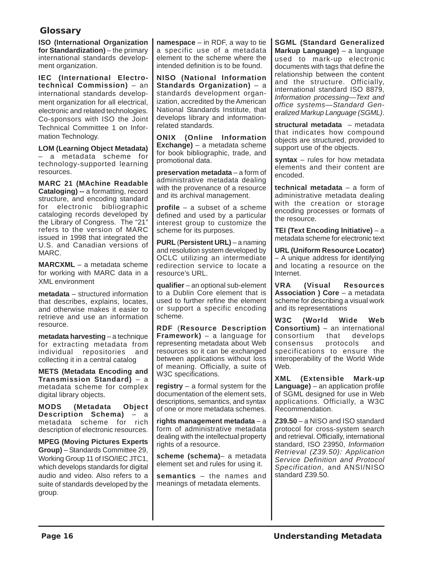#### **Glossary**

**ISO (International Organization for Standardization)** – the primary international standards development organization.

**IEC (International Electrotechnical Commission)** – an international standards development organization for all electrical, electronic and related technologies. Co-sponsors with ISO the Joint Technical Committee 1 on Information Technology.

**LOM (Learning Object Metadata)** – a metadata scheme for technology-supported learning resources.

**MARC 21 (MAchine Readable Cataloging) --** a formatting, record structure, and encoding standard for electronic bibliographic cataloging records developed by the Library of Congress. The "21" refers to the version of MARC issued in 1998 that integrated the U.S. and Canadian versions of MARC.

**MARCXML** – a metadata scheme for working with MARC data in a XML environment

**metadata** – structured information that describes, explains, locates, and otherwise makes it easier to retrieve and use an information resource.

**metadata harvesting** – a technique for extracting metadata from individual repositories and collecting it in a central catalog

**METS (Metadata Encoding and Transmission Standard)** – a metadata scheme for complex digital library objects.

**MODS (Metadata Object Description Schema)** – a metadata scheme for rich description of electronic resources.

**MPEG (Moving Pictures Experts Group)** – Standards Committee 29, Working Group 11 of ISO/IEC JTC1, which develops standards for digital audio and video. Also refers to a suite of standards developed by the group.

**namespace** – in RDF, a way to tie a specific use of a metadata element to the scheme where the intended definition is to be found.

**NISO (National Information Standards Organization)** – a standards development organization, accredited by the American National Standards Institute, that develops library and informationrelated standards.

**ONIX (Online Information Exchange)** – a metadata scheme for book bibliographic, trade, and promotional data.

**preservation metadata** – a form of administrative metadata dealing with the provenance of a resource and its archival management.

**profile** – a subset of a scheme defined and used by a particular interest group to customize the scheme for its purposes.

**PURL** (**Persistent URL)** – a naming and resolution system developed by OCLC utilizing an intermediate redirection service to locate a resource's URL.

**qualifier** – an optional sub-element to a Dublin Core element that is used to further refine the element or support a specific encoding scheme.

**RDF** (**Resource Description Framework)** – a language for representing metadata about Web resources so it can be exchanged between applications without loss of meaning. Officially, a suite of W3C specifications.

**registry** – a formal system for the documentation of the element sets, descriptions, semantics, and syntax of one or more metadata schemes.

**rights management metadata** – a form of administrative metadata dealing with the intellectual property rights of a resource.

**scheme (schema)**– a metadata element set and rules for using it.

**semantics** – the names and meanings of metadata elements.

**SGML (Standard Generalized Markup Language)** – a language used to mark-up electronic documents with tags that define the relationship between the content and the structure. Officially, international standard ISO 8879, *Information processing—Text and office systems—Standard Generalized Markup Language (SGML)*.

**structural metadata** – metadata that indicates how compound objects are structured, provided to support use of the objects.

**syntax** – rules for how metadata elements and their content are encoded.

**technical metadata** – a form of administrative metadata dealing with the creation or storage encoding processes or formats of the resource.

**TEI (Text Encoding Initiative)** – a metadata scheme for electronic text

**URL (Uniform Resource Locator)** – A unique address for identifying and locating a resource on the Internet.

**VRA (Visual Resources Association ) Core** – a metadata scheme for describing a visual work and its representations

**W3C (World Wide Web Consortium)** – an international consortium that develops consensus protocols and specifications to ensure the interoperability of the World Wide Web.

**XML (Extensible Mark-up Language)** – an application profile of SGML designed for use in Web applications. Officially, a W3C Recommendation.

**Z39.50** – a NISO and ISO standard protocol for cross-system search and retrieval. Officially, international standard, ISO 23950, *Information Retrieval (Z39.50): Application Service Definition and Protocol Specification*, and ANSI/NISO standard Z39.50.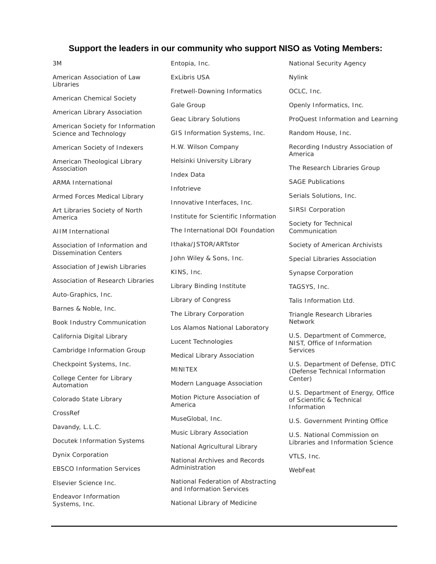#### **Support the leaders in our community who support NISO as Voting Members:**

3M American Association of Law Libraries American Chemical Society American Library Association American Society for Information Science and Technology American Society of Indexers American Theological Library Association ARMA International Armed Forces Medical Library Art Libraries Society of North America AIIM International Association of Information and Dissemination Centers Association of Jewish Libraries Association of Research Libraries Auto-Graphics, Inc. Barnes & Noble, Inc. Book Industry Communication California Digital Library Cambridge Information Group Checkpoint Systems, Inc. College Center for Library Automation Colorado State Library CrossRef Davandy, L.L.C. Docutek Information Systems Dynix Corporation EBSCO Information Services Elsevier Science Inc. Endeavor Information

Systems, Inc.

Entopia, Inc. ExLibris USA Fretwell-Downing Informatics Gale Group Geac Library Solutions GIS Information Systems, Inc. H.W. Wilson Company Helsinki University Library Index Data Infotrieve Innovative Interfaces, Inc. Institute for Scientific Information The International DOI Foundation Ithaka/JSTOR/ARTstor John Wiley & Sons, Inc. KINS, Inc. Library Binding Institute Library of Congress The Library Corporation Los Alamos National Laboratory Lucent Technologies Medical Library Association MINITEX Modern Language Association Motion Picture Association of America MuseGlobal, Inc. Music Library Association National Agricultural Library National Archives and Records Administration National Federation of Abstracting and Information Services

National Library of Medicine

National Security Agency Nylink OCLC, Inc. Openly Informatics, Inc. ProQuest Information and Learning Random House, Inc. Recording Industry Association of America The Research Libraries Group SAGE Publications Serials Solutions, Inc. SIRSI Corporation Society for Technical Communication Society of American Archivists Special Libraries Association Synapse Corporation TAGSYS, Inc. Talis Information Ltd. Triangle Research Libraries Network U.S. Department of Commerce, NIST, Office of Information Services U.S. Department of Defense, DTIC (Defense Technical Information Center) U.S. Department of Energy, Office of Scientific & Technical Information U.S. Government Printing Office U.S. National Commission on Libraries and Information Science VTLS, Inc.

WebFeat